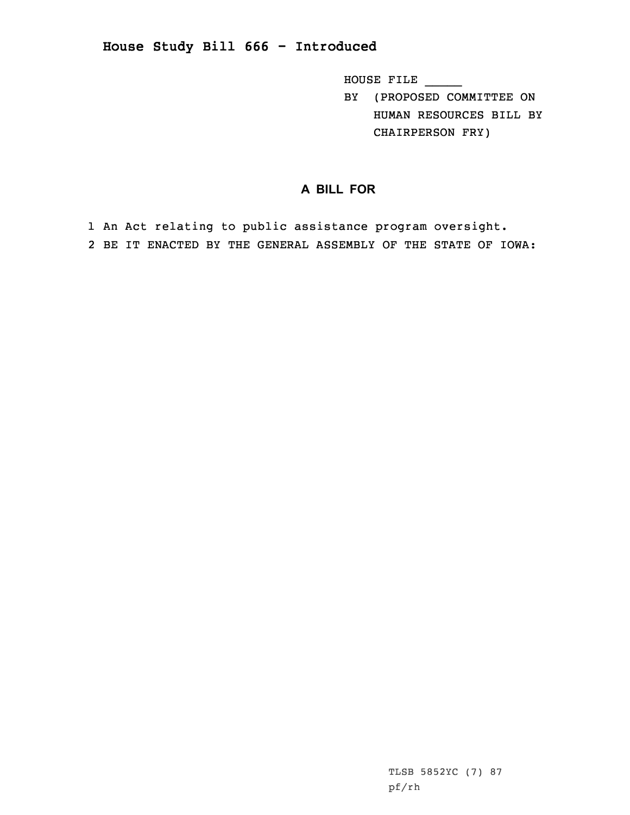**House Study Bill 666 - Introduced**

HOUSE FILE \_\_\_\_\_

BY (PROPOSED COMMITTEE ON HUMAN RESOURCES BILL BY CHAIRPERSON FRY)

## **A BILL FOR**

1 An Act relating to public assistance program oversight. 2 BE IT ENACTED BY THE GENERAL ASSEMBLY OF THE STATE OF IOWA: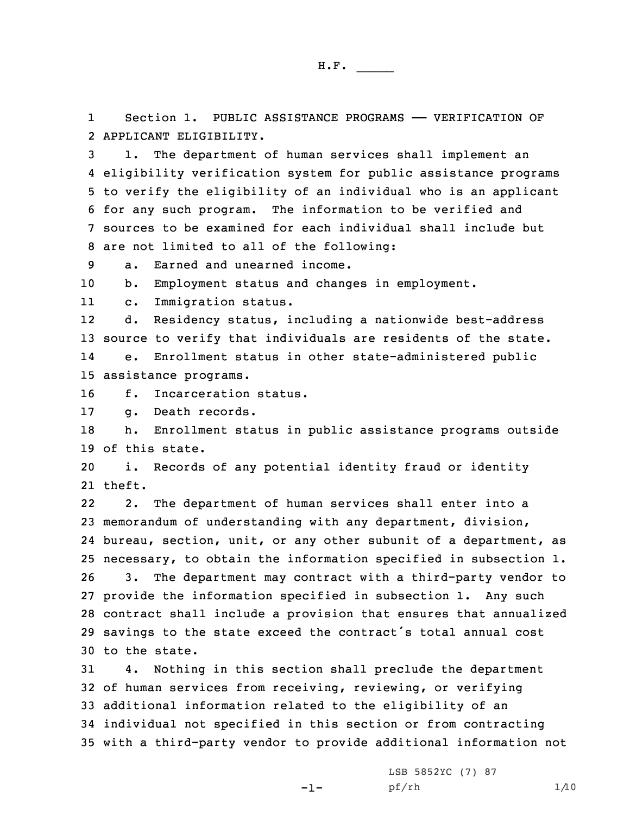1Section 1. PUBLIC ASSISTANCE PROGRAMS - VERIFICATION OF 2 APPLICANT ELIGIBILITY.

 1. The department of human services shall implement an eligibility verification system for public assistance programs to verify the eligibility of an individual who is an applicant for any such program. The information to be verified and sources to be examined for each individual shall include but are not limited to all of the following:

9 a. Earned and unearned income.

10 b. Employment status and changes in employment.

11c. Immigration status.

12 d. Residency status, including <sup>a</sup> nationwide best-address 13 source to verify that individuals are residents of the state. 14 e. Enrollment status in other state-administered public 15 assistance programs.

16 f. Incarceration status.

17 g. Death records.

18 h. Enrollment status in public assistance programs outside 19 of this state.

20 i. Records of any potential identity fraud or identity 21 theft.

22 2. The department of human services shall enter into <sup>a</sup> memorandum of understanding with any department, division, bureau, section, unit, or any other subunit of <sup>a</sup> department, as necessary, to obtain the information specified in subsection 1. 3. The department may contract with <sup>a</sup> third-party vendor to provide the information specified in subsection 1. Any such contract shall include <sup>a</sup> provision that ensures that annualized savings to the state exceed the contract's total annual cost to the state.

 4. Nothing in this section shall preclude the department of human services from receiving, reviewing, or verifying additional information related to the eligibility of an individual not specified in this section or from contracting with <sup>a</sup> third-party vendor to provide additional information not

 $-1-$ 

LSB 5852YC (7) 87 pf/rh 1/10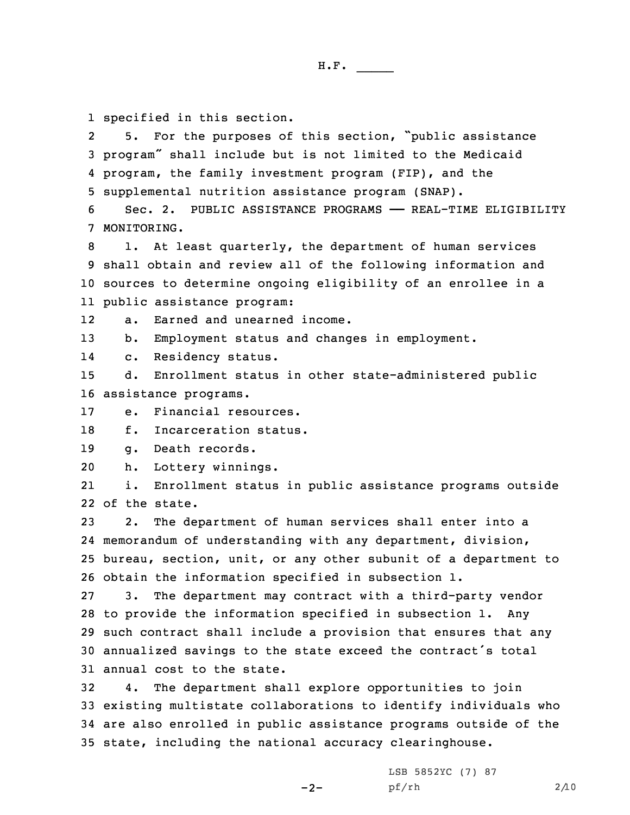1 specified in this section.

2 5. For the purposes of this section, "public assistance <sup>3</sup> program" shall include but is not limited to the Medicaid 4 program, the family investment program (FIP), and the 5 supplemental nutrition assistance program (SNAP).

6 Sec. 2. PUBLIC ASSISTANCE PROGRAMS —— REAL-TIME ELIGIBILITY 7 MONITORING.

 1. At least quarterly, the department of human services shall obtain and review all of the following information and sources to determine ongoing eligibility of an enrollee in <sup>a</sup> public assistance program:

12a. Earned and unearned income.

13 b. Employment status and changes in employment.

14c. Residency status.

15 d. Enrollment status in other state-administered public 16 assistance programs.

17 e. Financial resources.

18 f. Incarceration status.

19 g. Death records.

20 h. Lottery winnings.

21 i. Enrollment status in public assistance programs outside 22 of the state.

 2. The department of human services shall enter into <sup>a</sup> memorandum of understanding with any department, division, bureau, section, unit, or any other subunit of <sup>a</sup> department to obtain the information specified in subsection 1.

 3. The department may contract with <sup>a</sup> third-party vendor to provide the information specified in subsection 1. Any such contract shall include <sup>a</sup> provision that ensures that any annualized savings to the state exceed the contract's total annual cost to the state.

 4. The department shall explore opportunities to join existing multistate collaborations to identify individuals who are also enrolled in public assistance programs outside of the state, including the national accuracy clearinghouse.

 $-2-$ 

LSB 5852YC (7) 87 pf/rh 2/10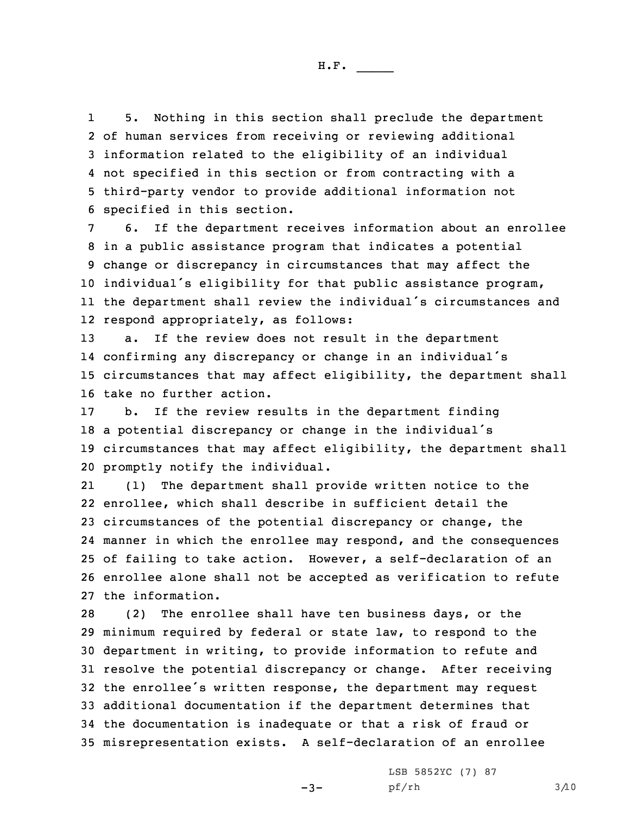1 5. Nothing in this section shall preclude the department of human services from receiving or reviewing additional information related to the eligibility of an individual not specified in this section or from contracting with <sup>a</sup> third-party vendor to provide additional information not specified in this section.

 6. If the department receives information about an enrollee in <sup>a</sup> public assistance program that indicates <sup>a</sup> potential change or discrepancy in circumstances that may affect the individual's eligibility for that public assistance program, the department shall review the individual's circumstances and respond appropriately, as follows:

 a. If the review does not result in the department confirming any discrepancy or change in an individual's circumstances that may affect eligibility, the department shall take no further action.

 b. If the review results in the department finding <sup>a</sup> potential discrepancy or change in the individual's circumstances that may affect eligibility, the department shall promptly notify the individual.

21 (1) The department shall provide written notice to the enrollee, which shall describe in sufficient detail the circumstances of the potential discrepancy or change, the manner in which the enrollee may respond, and the consequences of failing to take action. However, <sup>a</sup> self-declaration of an enrollee alone shall not be accepted as verification to refute the information.

 (2) The enrollee shall have ten business days, or the minimum required by federal or state law, to respond to the department in writing, to provide information to refute and resolve the potential discrepancy or change. After receiving the enrollee's written response, the department may request additional documentation if the department determines that the documentation is inadequate or that <sup>a</sup> risk of fraud or misrepresentation exists. <sup>A</sup> self-declaration of an enrollee

 $-3-$ 

LSB 5852YC (7) 87 pf/rh 3/10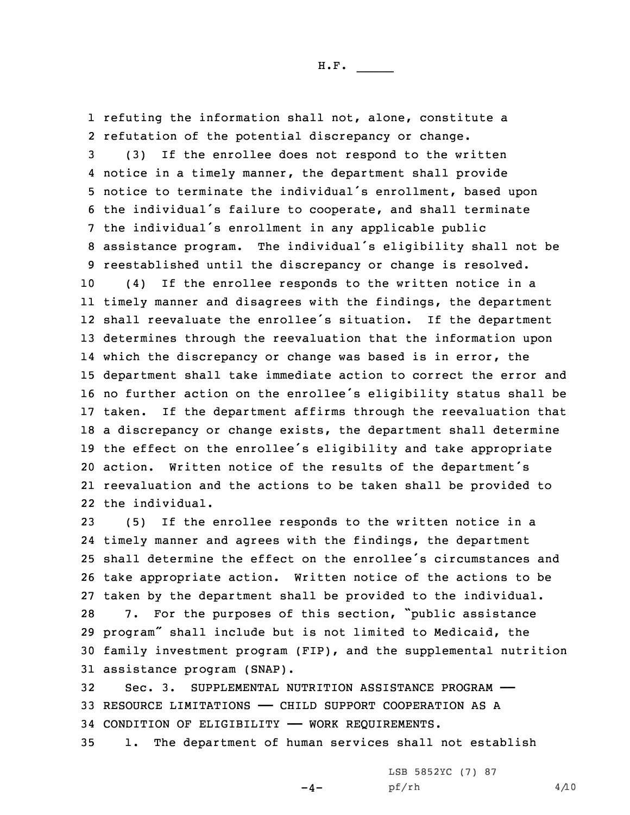refuting the information shall not, alone, constitute <sup>a</sup> refutation of the potential discrepancy or change. (3) If the enrollee does not respond to the written notice in <sup>a</sup> timely manner, the department shall provide notice to terminate the individual's enrollment, based upon the individual's failure to cooperate, and shall terminate the individual's enrollment in any applicable public assistance program. The individual's eligibility shall not be reestablished until the discrepancy or change is resolved. (4) If the enrollee responds to the written notice in <sup>a</sup> timely manner and disagrees with the findings, the department shall reevaluate the enrollee's situation. If the department determines through the reevaluation that the information upon which the discrepancy or change was based is in error, the department shall take immediate action to correct the error and no further action on the enrollee's eligibility status shall be taken. If the department affirms through the reevaluation that <sup>a</sup> discrepancy or change exists, the department shall determine the effect on the enrollee's eligibility and take appropriate action. Written notice of the results of the department's reevaluation and the actions to be taken shall be provided to the individual.

 (5) If the enrollee responds to the written notice in <sup>a</sup> timely manner and agrees with the findings, the department shall determine the effect on the enrollee's circumstances and take appropriate action. Written notice of the actions to be taken by the department shall be provided to the individual. 7. For the purposes of this section, "public assistance program" shall include but is not limited to Medicaid, the family investment program (FIP), and the supplemental nutrition assistance program (SNAP).

32 Sec. 3. SUPPLEMENTAL NUTRITION ASSISTANCE PROGRAM —— 33 RESOURCE LIMITATIONS —— CHILD SUPPORT COOPERATION AS A 34 CONDITION OF ELIGIBILITY —— WORK REQUIREMENTS.

35 1. The department of human services shall not establish

 $-4-$ 

LSB 5852YC (7) 87 pf/rh 4/10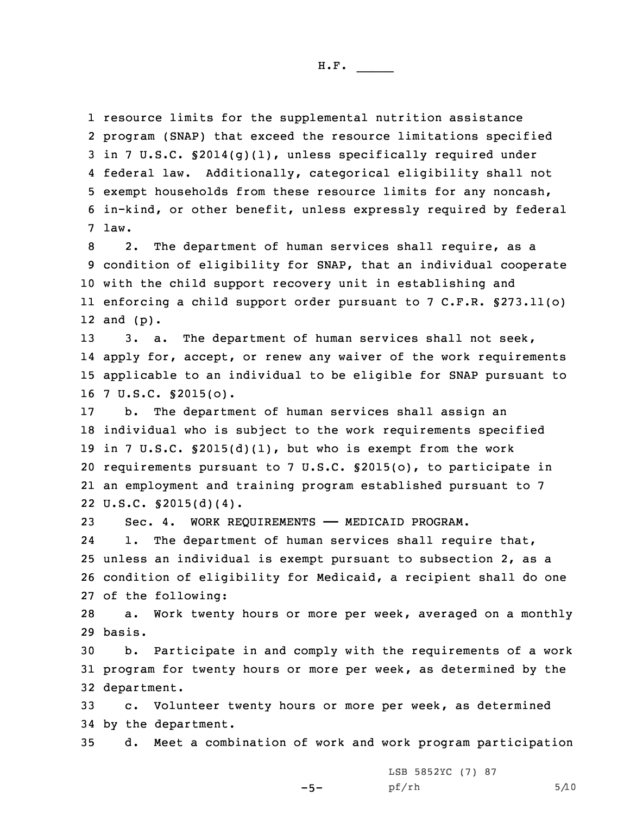resource limits for the supplemental nutrition assistance program (SNAP) that exceed the resource limitations specified in 7 U.S.C. §2014(g)(1), unless specifically required under federal law. Additionally, categorical eligibility shall not exempt households from these resource limits for any noncash, in-kind, or other benefit, unless expressly required by federal 7 law.

 2. The department of human services shall require, as <sup>a</sup> condition of eligibility for SNAP, that an individual cooperate with the child support recovery unit in establishing and enforcing <sup>a</sup> child support order pursuant to 7 C.F.R. §273.11(o) 12 and (p).

 3. a. The department of human services shall not seek, apply for, accept, or renew any waiver of the work requirements applicable to an individual to be eligible for SNAP pursuant to 7 U.S.C. §2015(o).

 b. The department of human services shall assign an individual who is subject to the work requirements specified in 7 U.S.C. §2015(d)(1), but who is exempt from the work requirements pursuant to 7 U.S.C. §2015(o), to participate in an employment and training program established pursuant to 7 U.S.C. §2015(d)(4).

23 Sec. 4. WORK REQUIREMENTS —— MEDICAID PROGRAM.

24 1. The department of human services shall require that, 25 unless an individual is exempt pursuant to subsection 2, as <sup>a</sup> 26 condition of eligibility for Medicaid, <sup>a</sup> recipient shall do one 27 of the following:

28 a. Work twenty hours or more per week, averaged on <sup>a</sup> monthly 29 basis.

30 b. Participate in and comply with the requirements of <sup>a</sup> work 31 program for twenty hours or more per week, as determined by the 32 department.

33 c. Volunteer twenty hours or more per week, as determined 34 by the department.

-5-

35 d. Meet <sup>a</sup> combination of work and work program participation

LSB 5852YC (7) 87  $pf/rh$  5/10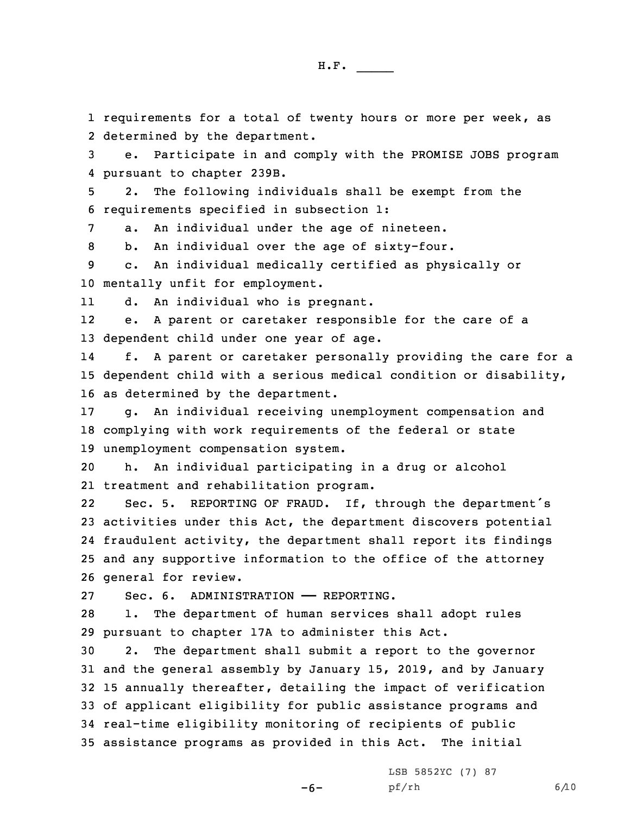1 requirements for <sup>a</sup> total of twenty hours or more per week, as 2 determined by the department.

3 e. Participate in and comply with the PROMISE JOBS program 4 pursuant to chapter 239B.

5 2. The following individuals shall be exempt from the 6 requirements specified in subsection 1:

7 a. An individual under the age of nineteen.

8 b. An individual over the age of sixty-four.

9 c. An individual medically certified as physically or 10 mentally unfit for employment.

11d. An individual who is pregnant.

12 e. <sup>A</sup> parent or caretaker responsible for the care of <sup>a</sup> 13 dependent child under one year of age.

14 f. <sup>A</sup> parent or caretaker personally providing the care for <sup>a</sup> 15 dependent child with <sup>a</sup> serious medical condition or disability, 16 as determined by the department.

17 g. An individual receiving unemployment compensation and 18 complying with work requirements of the federal or state 19 unemployment compensation system.

20 h. An individual participating in <sup>a</sup> drug or alcohol 21 treatment and rehabilitation program.

22 Sec. 5. REPORTING OF FRAUD. If, through the department's activities under this Act, the department discovers potential fraudulent activity, the department shall report its findings and any supportive information to the office of the attorney general for review.

27 Sec. 6. ADMINISTRATION —— REPORTING.

28 1. The department of human services shall adopt rules 29 pursuant to chapter 17A to administer this Act.

 2. The department shall submit <sup>a</sup> report to the governor and the general assembly by January 15, 2019, and by January 15 annually thereafter, detailing the impact of verification of applicant eligibility for public assistance programs and real-time eligibility monitoring of recipients of public assistance programs as provided in this Act. The initial

-6-

LSB 5852YC (7) 87 pf/rh 6/10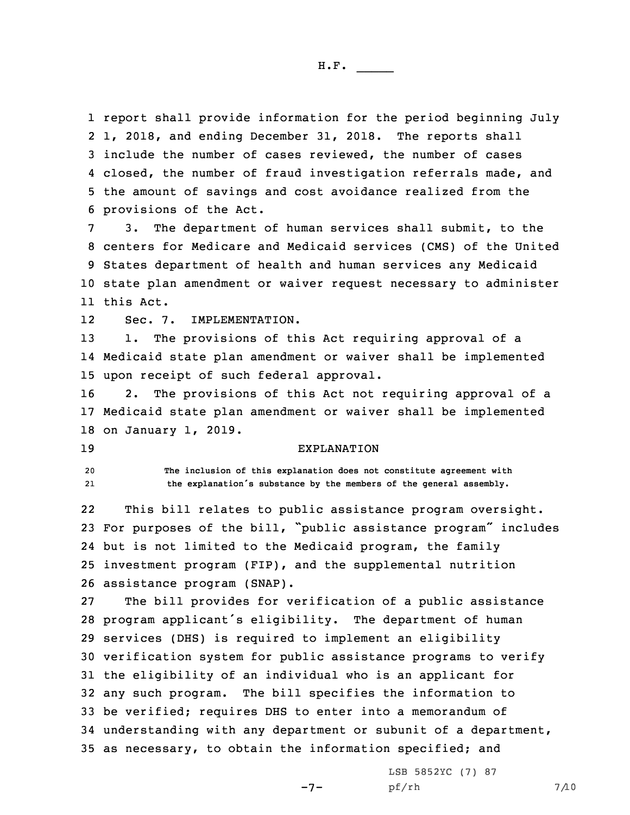report shall provide information for the period beginning July 1, 2018, and ending December 31, 2018. The reports shall include the number of cases reviewed, the number of cases 4 closed, the number of fraud investigation referrals made, and the amount of savings and cost avoidance realized from the provisions of the Act.

 3. The department of human services shall submit, to the centers for Medicare and Medicaid services (CMS) of the United States department of health and human services any Medicaid state plan amendment or waiver request necessary to administer this Act.

12Sec. 7. IMPLEMENTATION.

13 1. The provisions of this Act requiring approval of <sup>a</sup> 14 Medicaid state plan amendment or waiver shall be implemented 15 upon receipt of such federal approval.

16 2. The provisions of this Act not requiring approval of <sup>a</sup> 17 Medicaid state plan amendment or waiver shall be implemented 18 on January 1, 2019.

## 19 EXPLANATION

20 **The inclusion of this explanation does not constitute agreement with** 21**the explanation's substance by the members of the general assembly.**

22 This bill relates to public assistance program oversight. For purposes of the bill, "public assistance program" includes but is not limited to the Medicaid program, the family investment program (FIP), and the supplemental nutrition assistance program (SNAP).

 The bill provides for verification of <sup>a</sup> public assistance program applicant's eligibility. The department of human services (DHS) is required to implement an eligibility verification system for public assistance programs to verify the eligibility of an individual who is an applicant for any such program. The bill specifies the information to be verified; requires DHS to enter into <sup>a</sup> memorandum of understanding with any department or subunit of <sup>a</sup> department, as necessary, to obtain the information specified; and

-7-

LSB 5852YC (7) 87 pf/rh 7/10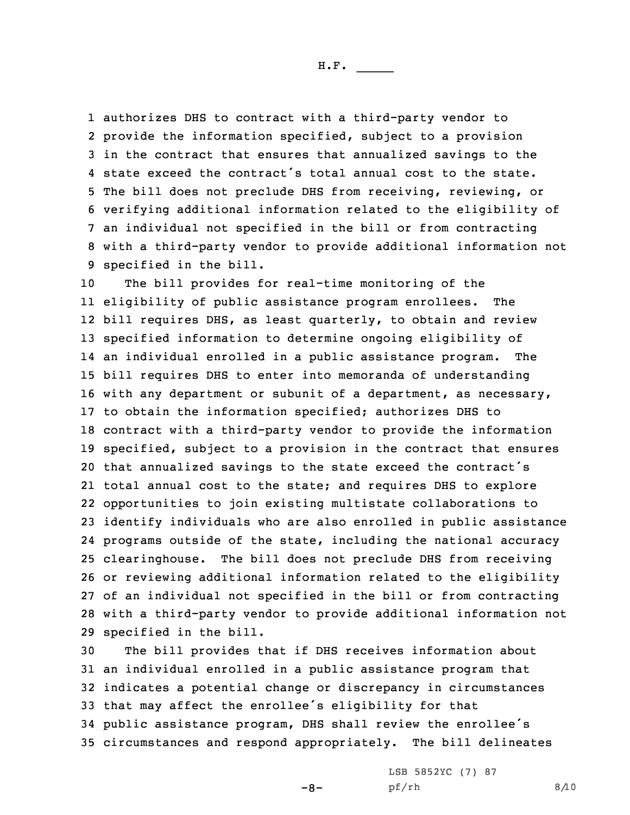authorizes DHS to contract with <sup>a</sup> third-party vendor to provide the information specified, subject to <sup>a</sup> provision in the contract that ensures that annualized savings to the state exceed the contract's total annual cost to the state. The bill does not preclude DHS from receiving, reviewing, or verifying additional information related to the eligibility of an individual not specified in the bill or from contracting with <sup>a</sup> third-party vendor to provide additional information not specified in the bill.

 The bill provides for real-time monitoring of the eligibility of public assistance program enrollees. The bill requires DHS, as least quarterly, to obtain and review specified information to determine ongoing eligibility of an individual enrolled in <sup>a</sup> public assistance program. The bill requires DHS to enter into memoranda of understanding with any department or subunit of <sup>a</sup> department, as necessary, to obtain the information specified; authorizes DHS to contract with <sup>a</sup> third-party vendor to provide the information specified, subject to <sup>a</sup> provision in the contract that ensures that annualized savings to the state exceed the contract's total annual cost to the state; and requires DHS to explore opportunities to join existing multistate collaborations to identify individuals who are also enrolled in public assistance programs outside of the state, including the national accuracy clearinghouse. The bill does not preclude DHS from receiving or reviewing additional information related to the eligibility of an individual not specified in the bill or from contracting with <sup>a</sup> third-party vendor to provide additional information not specified in the bill.

 The bill provides that if DHS receives information about an individual enrolled in <sup>a</sup> public assistance program that indicates <sup>a</sup> potential change or discrepancy in circumstances that may affect the enrollee's eligibility for that public assistance program, DHS shall review the enrollee's circumstances and respond appropriately. The bill delineates

-8-

LSB 5852YC (7) 87 pf/rh 8/10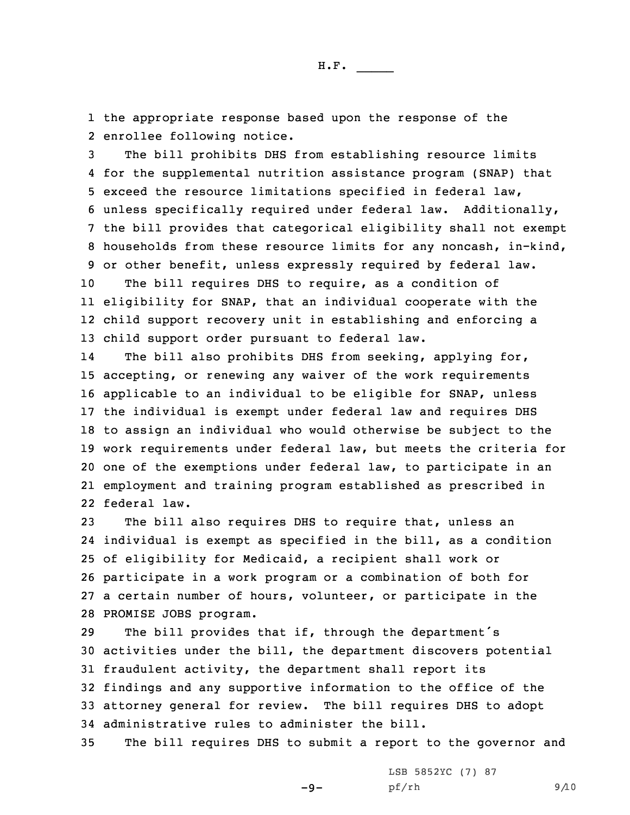1 the appropriate response based upon the response of the 2 enrollee following notice.

 The bill prohibits DHS from establishing resource limits for the supplemental nutrition assistance program (SNAP) that exceed the resource limitations specified in federal law, unless specifically required under federal law. Additionally, the bill provides that categorical eligibility shall not exempt households from these resource limits for any noncash, in-kind, or other benefit, unless expressly required by federal law.

 The bill requires DHS to require, as <sup>a</sup> condition of eligibility for SNAP, that an individual cooperate with the child support recovery unit in establishing and enforcing <sup>a</sup> child support order pursuant to federal law.

14The bill also prohibits DHS from seeking, applying for, accepting, or renewing any waiver of the work requirements applicable to an individual to be eligible for SNAP, unless the individual is exempt under federal law and requires DHS to assign an individual who would otherwise be subject to the work requirements under federal law, but meets the criteria for one of the exemptions under federal law, to participate in an employment and training program established as prescribed in federal law.

 The bill also requires DHS to require that, unless an individual is exempt as specified in the bill, as <sup>a</sup> condition of eligibility for Medicaid, <sup>a</sup> recipient shall work or participate in <sup>a</sup> work program or <sup>a</sup> combination of both for <sup>a</sup> certain number of hours, volunteer, or participate in the PROMISE JOBS program.

 The bill provides that if, through the department's activities under the bill, the department discovers potential fraudulent activity, the department shall report its findings and any supportive information to the office of the attorney general for review. The bill requires DHS to adopt administrative rules to administer the bill.

35 The bill requires DHS to submit <sup>a</sup> report to the governor and

 $-9-$ 

LSB 5852YC (7) 87 pf/rh 9/10